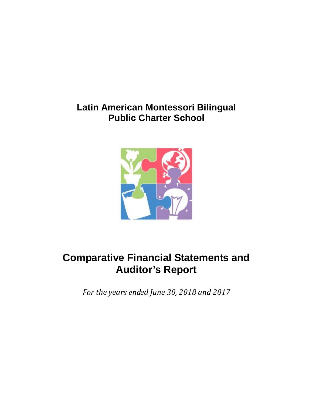## **Latin American Montessori Bilingual Public Charter School**



# **Comparative Financial Statements and Auditor's Report**

*For the years ended June 30, 2018 and 2017*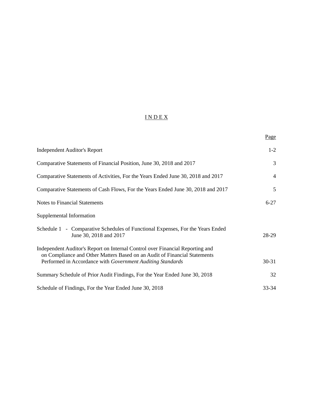## I N D E X

|                                                                                                                                                                                                                          | Page           |
|--------------------------------------------------------------------------------------------------------------------------------------------------------------------------------------------------------------------------|----------------|
| <b>Independent Auditor's Report</b>                                                                                                                                                                                      | $1 - 2$        |
| Comparative Statements of Financial Position, June 30, 2018 and 2017                                                                                                                                                     | 3              |
| Comparative Statements of Activities, For the Years Ended June 30, 2018 and 2017                                                                                                                                         | $\overline{4}$ |
| Comparative Statements of Cash Flows, For the Years Ended June 30, 2018 and 2017                                                                                                                                         | 5              |
| <b>Notes to Financial Statements</b>                                                                                                                                                                                     | $6 - 27$       |
| Supplemental Information                                                                                                                                                                                                 |                |
| Schedule 1 - Comparative Schedules of Functional Expenses, For the Years Ended<br>June 30, 2018 and 2017                                                                                                                 | 28-29          |
| Independent Auditor's Report on Internal Control over Financial Reporting and<br>on Compliance and Other Matters Based on an Audit of Financial Statements<br>Performed in Accordance with Government Auditing Standards | $30 - 31$      |
| Summary Schedule of Prior Audit Findings, For the Year Ended June 30, 2018                                                                                                                                               | 32             |
| Schedule of Findings, For the Year Ended June 30, 2018                                                                                                                                                                   | 33-34          |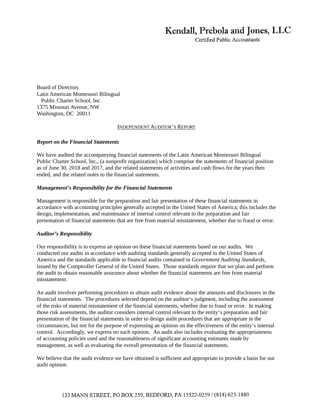## **Kendall, Prebola and Jones, LLC**

Certified Public Accountants

Board of Directors Latin American Montessori Bilingual Public Charter School, Inc. 1375 Missouri Avenue, NW Washington, DC 20011

#### INDEPENDENT AUDITOR'S REPORT

#### *Report on the Financial Statements*

We have audited the accompanying financial statements of the Latin American Montessori Bilingual Public Charter School, Inc., (a nonprofit organization) which comprise the statements of financial position as of June 30, 2018 and 2017, and the related statements of activities and cash flows for the years then ended, and the related notes to the financial statements.

#### *Management's Responsibility for the Financial Statements*

Management is responsible for the preparation and fair presentation of these financial statements in accordance with accounting principles generally accepted in the United States of America; this includes the design, implementation, and maintenance of internal control relevant to the preparation and fair presentation of financial statements that are free from material misstatement, whether due to fraud or error.

#### *Auditor's Responsibility*

Our responsibility is to express an opinion on these financial statements based on our audits. We conducted our audits in accordance with auditing standards generally accepted in the United States of America and the standards applicable to financial audits contained in *Government Auditing Standards*, issued by the Comptroller General of the United States. Those standards require that we plan and perform the audit to obtain reasonable assurance about whether the financial statements are free from material misstatement.

An audit involves performing procedures to obtain audit evidence about the amounts and disclosures in the financial statements. The procedures selected depend on the auditor's judgment, including the assessment of the risks of material misstatement of the financial statements, whether due to fraud or error. In making those risk assessments, the auditor considers internal control relevant to the entity's preparation and fair presentation of the financial statements in order to design audit procedures that are appropriate in the circumstances, but not for the purpose of expressing an opinion on the effectiveness of the entity's internal control. Accordingly, we express no such opinion. An audit also includes evaluating the appropriateness of accounting policies used and the reasonableness of significant accounting estimates made by management, as well as evaluating the overall presentation of the financial statements.

We believe that the audit evidence we have obtained is sufficient and appropriate to provide a basis for our audit opinion.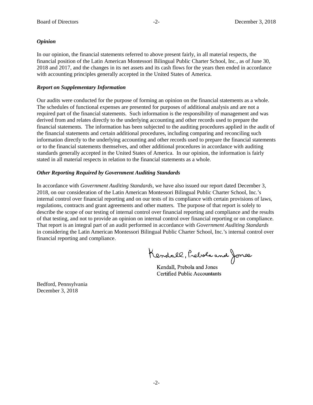#### *Opinion*

In our opinion, the financial statements referred to above present fairly, in all material respects, the financial position of the Latin American Montessori Bilingual Public Charter School, Inc., as of June 30, 2018 and 2017, and the changes in its net assets and its cash flows for the years then ended in accordance with accounting principles generally accepted in the United States of America.

## *Report on Supplementary Information*

Our audits were conducted for the purpose of forming an opinion on the financial statements as a whole. The schedules of functional expenses are presented for purposes of additional analysis and are not a required part of the financial statements. Such information is the responsibility of management and was derived from and relates directly to the underlying accounting and other records used to prepare the financial statements. The information has been subjected to the auditing procedures applied in the audit of the financial statements and certain additional procedures, including comparing and reconciling such information directly to the underlying accounting and other records used to prepare the financial statements or to the financial statements themselves, and other additional procedures in accordance with auditing standards generally accepted in the United States of America. In our opinion, the information is fairly stated in all material respects in relation to the financial statements as a whole.

## *Other Reporting Required by Government Auditing Standards*

In accordance with *Government Auditing Standards*, we have also issued our report dated December 3, 2018, on our consideration of the Latin American Montessori Bilingual Public Charter School, Inc.'s internal control over financial reporting and on our tests of its compliance with certain provisions of laws, regulations, contracts and grant agreements and other matters. The purpose of that report is solely to describe the scope of our testing of internal control over financial reporting and compliance and the results of that testing, and not to provide an opinion on internal control over financial reporting or on compliance. That report is an integral part of an audit performed in accordance with *Government Auditing Standards* in considering the Latin American Montessori Bilingual Public Charter School, Inc.'s internal control over financial reporting and compliance.

Kendall, Prebola and Jones Kendall, Prebola and Jones Certified Public Accountants Certified Public Accountants

Bedford, Pennsylvania December 3, 2018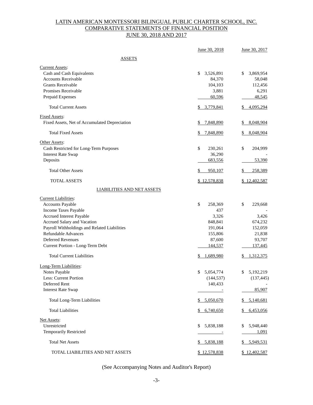## LATIN AMERICAN MONTESSORI BILINGUAL PUBLIC CHARTER SCHOOL, INC. COMPARATIVE STATEMENTS OF FINANCIAL POSITION JUNE 30, 2018 AND 2017

|                                               | June 30, 2018   | June 30, 2017   |
|-----------------------------------------------|-----------------|-----------------|
| <b>ASSETS</b>                                 |                 |                 |
| <b>Current Assets:</b>                        |                 |                 |
| Cash and Cash Equivalents                     | \$<br>3,526,891 | \$<br>3,869,954 |
| <b>Accounts Receivable</b>                    | 84,370          | 58,048          |
| <b>Grants Receivable</b>                      | 104,103         | 112,456         |
| Promises Receivable                           | 3,881           | 6,291           |
| Prepaid Expenses                              | 60,596          | 48,545          |
| <b>Total Current Assets</b>                   | \$3,779,841     | 4,095,294<br>\$ |
| <b>Fixed Assets:</b>                          |                 |                 |
| Fixed Assets, Net of Accumulated Depreciation | 7,848,890       | 8,048,904<br>\$ |
| <b>Total Fixed Assets</b>                     | 7,848,890       | 8,048,904<br>S  |
| Other Assets:                                 |                 |                 |
| Cash Restricted for Long-Term Purposes        | \$<br>230,261   | \$<br>204,999   |
| <b>Interest Rate Swap</b>                     | 36,290          |                 |
| Deposits                                      | 683,556         | 53,390          |
| <b>Total Other Assets</b>                     | 950,107<br>S    | 258,389<br>\$   |
| <b>TOTAL ASSETS</b>                           | \$12,578,838    | \$12,402,587    |
| <b>LIABILITIES AND NET ASSETS</b>             |                 |                 |
| <b>Current Liabilities:</b>                   |                 |                 |
| <b>Accounts Payable</b>                       | \$<br>258,369   | \$<br>229,668   |
| Income Taxes Payable                          | 437             |                 |
| <b>Accrued Interest Payable</b>               | 3,326           | 3,426           |
| Accrued Salary and Vacation                   | 848,841         | 674,232         |
| Payroll Withholdings and Related Liabilities  | 191,064         | 152,059         |
| <b>Refundable Advances</b>                    | 155,806         | 21,838          |
| <b>Deferred Revenues</b>                      | 87,600          | 93,707          |
| Current Portion - Long-Term Debt              | 144,537         | 137,445         |
| <b>Total Current Liabilities</b>              | 1,689,980       | 1,312,375<br>\$ |
| Long-Term Liabilities:                        |                 |                 |
| Notes Payable                                 | \$<br>5,054,774 | 5,192,219<br>\$ |
| Less: Current Portion                         | (144, 537)      | (137, 445)      |
| <b>Deferred Rent</b>                          | 140,433         |                 |
| <b>Interest Rate Swap</b>                     |                 | 85,907          |
| <b>Total Long-Term Liabilities</b>            | \$ 5,050,670    | \$5,140,681     |
| <b>Total Liabilities</b>                      | 6,740,650<br>S. | 6,453,056<br>\$ |
| Net Assets:                                   |                 |                 |
| Unrestricted                                  | 5,838,188<br>S. | 5,948,440<br>S. |
| Temporarily Restricted                        |                 | 1,091           |
|                                               |                 |                 |
| <b>Total Net Assets</b>                       | \$5,838,188     | 5,949,531       |
| TOTAL LIABILITIES AND NET ASSETS              | \$12,578,838    | \$12,402,587    |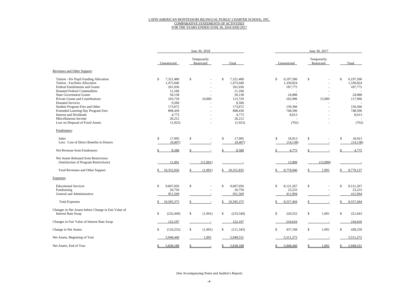#### LATIN AMERICAN MONTESSORI BILINGUAL PUBLIC CHARTER SCHOOL, INC. COMPARATIVE STATEMENTS OF ACTIVITIES FOR THE YEARS ENDED JUNE 30, 2018 AND 2017

|                                                                                                                                                                                                                                                                                                                                                                                             |                                                                                                                          | June 30, 2018             |               |                                                                                                                    | June 30, 2017 |                                                                                       |    |                           |    |                                                                                       |
|---------------------------------------------------------------------------------------------------------------------------------------------------------------------------------------------------------------------------------------------------------------------------------------------------------------------------------------------------------------------------------------------|--------------------------------------------------------------------------------------------------------------------------|---------------------------|---------------|--------------------------------------------------------------------------------------------------------------------|---------------|---------------------------------------------------------------------------------------|----|---------------------------|----|---------------------------------------------------------------------------------------|
|                                                                                                                                                                                                                                                                                                                                                                                             | Unrestricted                                                                                                             | Temporarily<br>Restricted |               | Total                                                                                                              |               | Unrestricted                                                                          |    | Temporarily<br>Restricted |    | Total                                                                                 |
| Revenues and Other Support:                                                                                                                                                                                                                                                                                                                                                                 |                                                                                                                          |                           |               |                                                                                                                    |               |                                                                                       |    |                           |    |                                                                                       |
| Tuition - Per Pupil Funding Allocation<br>Tuition - Facilities Allocation<br>Federal Entitlements and Grants<br><b>Donated Federal Commodities</b><br><b>State Government Grants</b><br>Private Grants and Contributions<br><b>Donated Services</b><br>Student Program Fees and Other<br><b>Extended Learning Day Program Fees</b><br><b>Interest and Dividends</b><br>Miscellaneous Income | 7,321,480<br>\$<br>1,475,040<br>261,036<br>11,160<br>50,138<br>103,729<br>9,500<br>173,672<br>898,430<br>4,773<br>26,212 | \$<br>10,000              | \$            | 7,321,480<br>1,475,040<br>261,036<br>11,160<br>50,138<br>113,729<br>9,500<br>173,672<br>898,430<br>4,773<br>26,212 | \$            | 6,197,506<br>1,330,824<br>187,775<br>24,988<br>102,996<br>159,366<br>748,596<br>8,013 | \$ | 15,000                    | \$ | 6,197,506<br>1,330,824<br>187,775<br>24,988<br>117,996<br>159,366<br>748,596<br>8,013 |
| Loss on Disposal of Fixed Assets                                                                                                                                                                                                                                                                                                                                                            | (1,923)                                                                                                                  |                           |               | (1,923)                                                                                                            |               | (702)                                                                                 |    |                           |    | (702)                                                                                 |
| Fundraisers:                                                                                                                                                                                                                                                                                                                                                                                |                                                                                                                          |                           |               |                                                                                                                    |               |                                                                                       |    |                           |    |                                                                                       |
| Sales<br>Less: Cost of Direct Benefits to Donors                                                                                                                                                                                                                                                                                                                                            | 17,995<br>\$<br>(9,407)                                                                                                  | \$                        | \$            | 17,995<br>(9,407)                                                                                                  | \$            | 18,913<br>(14, 138)                                                                   | \$ |                           | \$ | 18,913<br>(14, 138)                                                                   |
| Net Revenue from Fundraisers                                                                                                                                                                                                                                                                                                                                                                | 8,588                                                                                                                    |                           |               | 8,588                                                                                                              |               | 4,775                                                                                 |    |                           |    | 4,775                                                                                 |
| Net Assets Released from Restrictions<br>(Satisfaction of Program Restrictions)                                                                                                                                                                                                                                                                                                             | 11,091                                                                                                                   | (11,091)                  |               |                                                                                                                    |               | 13,909                                                                                |    | (13,909)                  |    |                                                                                       |
| <b>Total Revenues and Other Support</b>                                                                                                                                                                                                                                                                                                                                                     | 10,352,926                                                                                                               | (1,091)                   | S.            | 10,351,835                                                                                                         |               | 8,778,046                                                                             |    | 1,091                     |    | 8,779,137                                                                             |
| Expenses:                                                                                                                                                                                                                                                                                                                                                                                   |                                                                                                                          |                           |               |                                                                                                                    |               |                                                                                       |    |                           |    |                                                                                       |
| <b>Educational Services</b><br>Fundraising<br>General and Administrative                                                                                                                                                                                                                                                                                                                    | 9,607,056<br>\$<br>26,750<br>951,569                                                                                     | \$                        | <sup>\$</sup> | 9,607,056<br>26,750<br>951,569                                                                                     | \$            | 8,121,267<br>23,233<br>412,994                                                        | \$ | $\overline{\phantom{a}}$  | \$ | 8,121,267<br>23,233<br>412,994                                                        |
| <b>Total Expenses</b>                                                                                                                                                                                                                                                                                                                                                                       | 10,585,375                                                                                                               |                           |               | 10,585,375                                                                                                         |               | 8,557,494                                                                             |    |                           |    | 8,557,494                                                                             |
| Changes in Net Assets before Change in Fair Value of<br><b>Interest Rate Swap</b>                                                                                                                                                                                                                                                                                                           | \$<br>(232, 449)                                                                                                         | \$<br>(1,091)             | S             | (233,540)                                                                                                          | \$            | 220,552                                                                               | \$ | 1,091                     | \$ | 221,643                                                                               |
| Changes in Fair Value of Interest Rate Swap                                                                                                                                                                                                                                                                                                                                                 | 122,197                                                                                                                  |                           |               | 122,197                                                                                                            |               | 216,616                                                                               |    |                           |    | 216,616                                                                               |
| Change in Net Assets                                                                                                                                                                                                                                                                                                                                                                        | (110, 252)<br>\$                                                                                                         | \$<br>(1,091)             | \$            | (111, 343)                                                                                                         | \$            | 437,168                                                                               | \$ | 1,091                     | \$ | 438,259                                                                               |
| Net Assets, Beginning of Year                                                                                                                                                                                                                                                                                                                                                               | 5,948,440                                                                                                                | 1,091                     |               | 5,949,531                                                                                                          |               | 5,511,272                                                                             |    |                           |    | 5,511,272                                                                             |
| Net Assets, End of Year                                                                                                                                                                                                                                                                                                                                                                     | 5,838,188                                                                                                                |                           | \$            | 5,838,188                                                                                                          |               | 5,948,440                                                                             |    | 1,091                     |    | 5,949,531                                                                             |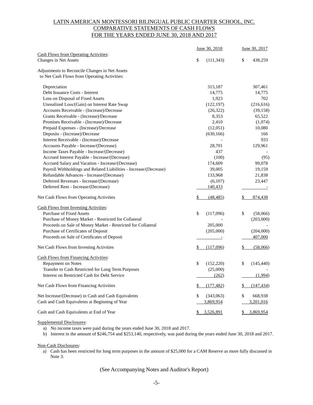## LATIN AMERICAN MONTESSORI BILINGUAL PUBLIC CHARTER SCHOOL, INC. COMPARATIVE STATEMENTS OF CASH FLOWS FOR THE YEARS ENDED JUNE 30, 2018 AND 2017

|                                                                    | June 30, 2018    | June 30, 2017            |
|--------------------------------------------------------------------|------------------|--------------------------|
| <b>Cash Flows from Operating Activities:</b>                       |                  |                          |
| Changes in Net Assets                                              | \$<br>(111, 343) | \$<br>438,259            |
| Adjustments to Reconcile Changes in Net Assets                     |                  |                          |
| to Net Cash Flows from Operating Activities:                       |                  |                          |
| Depreciation                                                       | 315,187          | 307,461                  |
| Debt Issuance Costs - Interest                                     | 14,775           | 14,775                   |
| Loss on Disposal of Fixed Assets                                   | 1,923            | 702                      |
| Unrealized Loss/(Gain) on Interest Rate Swap                       | (122, 197)       | (216,616)                |
| Accounts Receivable - (Increase)/Decrease                          | (26, 322)        | (39, 158)                |
| Grants Receivable - (Increase)/Decrease                            | 8,353            | 65,522                   |
| Promises Receivable - (Increase)/Decrease                          | 2,410            | (1,074)                  |
| Prepaid Expenses - (Increase)/Decrease                             | (12,051)         | 10,080                   |
| Deposits - (Increase)/Decrease                                     | (630, 166)       | 166                      |
| Interest Receivable - (Increase)/Decrease                          |                  | 933                      |
| Accounts Payable - Increase/(Decrease)                             | 28,701           | 129,961                  |
| Income Taxes Payable - Increase/(Decrease)                         | 437              |                          |
| Accrued Interest Payable - Increase/(Decrease)                     | (100)            | (95)                     |
| Accrued Salary and Vacation - Increase/(Decrease)                  | 174,609          | 99,078                   |
| Payroll Withholdings and Related Liabilities - Increase/(Decrease) | 39,005           | 19,159                   |
| Refundable Advances - Increase/(Decrease)                          | 133,968          | 21,838                   |
| Deferred Revenues - Increase/(Decrease)                            | (6,107)          | 23,447                   |
| Deferred Rent - Increase/(Decrease)                                | 140,433          |                          |
|                                                                    |                  |                          |
| Net Cash Flows from Operating Activities                           | (48, 485)<br>\$  | $\frac{1}{2}$<br>874,438 |
| Cash Flows from Investing Activities:                              |                  |                          |
| <b>Purchase of Fixed Assets</b>                                    | \$<br>(117,096)  | \$<br>(58,066)           |
| Purchase of Money Market - Restricted for Collateral               |                  | (203,000)                |
| Proceeds on Sale of Money Market - Restricted for Collateral       | 205,000          |                          |
| Purchase of Certificates of Deposit                                | (205,000)        | (204,000)                |
| Proceeds on Sale of Certificates of Deposit                        |                  | 407,000                  |
| Net Cash Flows from Investing Activities                           | (117,096)        | \$<br>(58,066)           |
| <b>Cash Flows from Financing Activities:</b>                       |                  |                          |
| Repayment on Notes                                                 | \$<br>(152, 220) | \$<br>(145, 440)         |
| Transfer to Cash Restricted for Long Term Purposes                 | (25,000)         |                          |
| Interest on Restricted Cash for Debt Service                       | (262)            | (1,994)                  |
|                                                                    |                  |                          |
| Net Cash Flows from Financing Activities                           | (177, 482)<br>\$ | \$<br>(147, 434)         |
| Net Increase/(Decrease) in Cash and Cash Equivalents               | \$<br>(343,063)  | \$<br>668,938            |
| Cash and Cash Equivalents at Beginning of Year                     | 3,869,954        | 3,201,016                |
| Cash and Cash Equivalents at End of Year                           | 3,526,891        | 3,869,954                |

Supplemental Disclosures:

a) No income taxes were paid during the years ended June 30, 2018 and 2017.

b) Interest in the amount of \$246,754 and \$253,140, respectively, was paid during the years ended June 30, 2018 and 2017.

Non-Cash Disclosures:

a) Cash has been restricted for long term purposes in the amount of \$25,000 for a CAM Reserve as more fully discussed in Note 3.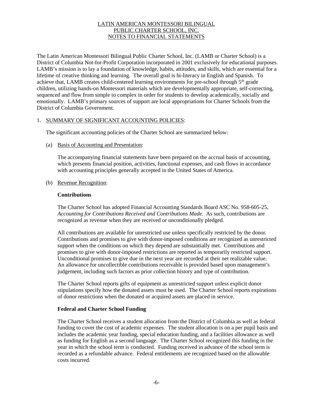The Latin American Montessori Bilingual Public Charter School, Inc. (LAMB or Charter School) is a District of Columbia Not-for-Profit Corporation incorporated in 2001 exclusively for educational purposes. LAMB's mission is to lay a foundation of knowledge, habits, attitudes, and skills, which are essential for a lifetime of creative thinking and learning. The overall goal is bi-literacy in English and Spanish. To achieve that, LAMB creates child-centered learning environments for pre-school through 5<sup>th</sup> grade children, utilizing hands-on Montessori materials which are developmentally appropriate, self-correcting, sequenced and flow from simple to complex in order for students to develop academically, socially and emotionally. LAMB's primary sources of support are local appropriations for Charter Schools from the District of Columbia Government.

#### 1. SUMMARY OF SIGNIFICANT ACCOUNTING POLICIES:

The significant accounting policies of the Charter School are summarized below:

(a) Basis of Accounting and Presentation:

The accompanying financial statements have been prepared on the accrual basis of accounting, which presents financial position, activities, functional expenses, and cash flows in accordance with accounting principles generally accepted in the United States of America.

(b) Revenue Recognition:

#### **Contributions**

The Charter School has adopted Financial Accounting Standards Board ASC No. 958-605-25, *Accounting for Contributions Received and Contributions Made.* As such, contributions are recognized as revenue when they are received or unconditionally pledged.

All contributions are available for unrestricted use unless specifically restricted by the donor. Contributions and promises to give with donor-imposed conditions are recognized as unrestricted support when the conditions on which they depend are substantially met. Contributions and promises to give with donor-imposed restrictions are reported as temporarily restricted support. Unconditional promises to give due in the next year are recorded at their net realizable value. An allowance for uncollectible contributions receivable is provided based upon management's judgement, including such factors as prior collection history and type of contribution.

The Charter School reports gifts of equipment as unrestricted support unless explicit donor stipulations specify how the donated assets must be used. The Charter School reports expirations of donor restrictions when the donated or acquired assets are placed in service.

#### **Federal and Charter School Funding**

The Charter School receives a student allocation from the District of Columbia as well as federal funding to cover the cost of academic expenses. The student allocation is on a per pupil basis and includes the academic year funding, special education funding, and a facilities allowance as well as funding for English as a second language. The Charter School recognized this funding in the year in which the school term is conducted. Funding received in advance of the school term is recorded as a refundable advance. Federal entitlements are recognized based on the allowable costs incurred.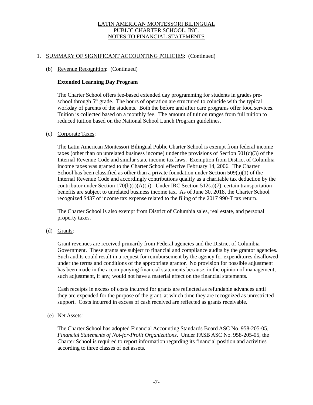#### 1. SUMMARY OF SIGNIFICANT ACCOUNTING POLICIES: (Continued)

#### (b) Revenue Recognition: (Continued)

#### **Extended Learning Day Program**

The Charter School offers fee-based extended day programming for students in grades preschool through  $5<sup>th</sup>$  grade. The hours of operation are structured to coincide with the typical workday of parents of the students. Both the before and after care programs offer food services. Tuition is collected based on a monthly fee. The amount of tuition ranges from full tuition to reduced tuition based on the National School Lunch Program guidelines.

#### (c) Corporate Taxes:

The Latin American Montessori Bilingual Public Charter School is exempt from federal income taxes (other than on unrelated business income) under the provisions of Section  $501(c)(3)$  of the Internal Revenue Code and similar state income tax laws. Exemption from District of Columbia income taxes was granted to the Charter School effective February 14, 2006. The Charter School has been classified as other than a private foundation under Section  $509(a)(1)$  of the Internal Revenue Code and accordingly contributions qualify as a charitable tax deduction by the contributor under Section 170(b)(i)(A)(ii). Under IRC Section 512(a)(7), certain transportation benefits are subject to unrelated business income tax. As of June 30, 2018, the Charter School recognized \$437 of income tax expense related to the filing of the 2017 990-T tax return.

The Charter School is also exempt from District of Columbia sales, real estate, and personal property taxes.

(d) Grants:

Grant revenues are received primarily from Federal agencies and the District of Columbia Government. These grants are subject to financial and compliance audits by the grantor agencies. Such audits could result in a request for reimbursement by the agency for expenditures disallowed under the terms and conditions of the appropriate grantor. No provision for possible adjustment has been made in the accompanying financial statements because, in the opinion of management, such adjustment, if any, would not have a material effect on the financial statements.

Cash receipts in excess of costs incurred for grants are reflected as refundable advances until they are expended for the purpose of the grant, at which time they are recognized as unrestricted support. Costs incurred in excess of cash received are reflected as grants receivable.

(e) Net Assets:

The Charter School has adopted Financial Accounting Standards Board ASC No. 958-205-05, *Financial Statements of Not-for-Profit Organizations*. Under FASB ASC No. 958-205-05, the Charter School is required to report information regarding its financial position and activities according to three classes of net assets.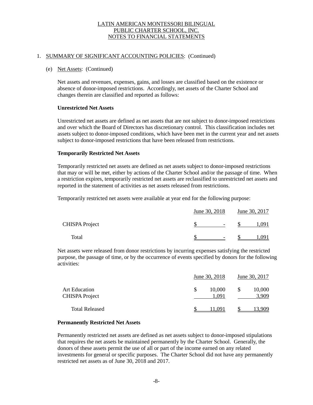#### 1. SUMMARY OF SIGNIFICANT ACCOUNTING POLICIES: (Continued)

#### (e) Net Assets: (Continued)

Net assets and revenues, expenses, gains, and losses are classified based on the existence or absence of donor-imposed restrictions. Accordingly, net assets of the Charter School and changes therein are classified and reported as follows:

#### **Unrestricted Net Assets**

Unrestricted net assets are defined as net assets that are not subject to donor-imposed restrictions and over which the Board of Directors has discretionary control. This classification includes net assets subject to donor-imposed conditions, which have been met in the current year and net assets subject to donor-imposed restrictions that have been released from restrictions.

#### **Temporarily Restricted Net Assets**

Temporarily restricted net assets are defined as net assets subject to donor-imposed restrictions that may or will be met, either by actions of the Charter School and/or the passage of time. When a restriction expires, temporarily restricted net assets are reclassified to unrestricted net assets and reported in the statement of activities as net assets released from restrictions.

Temporarily restricted net assets were available at year end for the following purpose:

|                       | June 30, 2018            | June 30, 2017 |  |  |
|-----------------------|--------------------------|---------------|--|--|
| <b>CHISPA Project</b> | $\overline{\phantom{0}}$ | 09            |  |  |
| Total                 | $\overline{\phantom{0}}$ | oo            |  |  |

Net assets were released from donor restrictions by incurring expenses satisfying the restricted purpose, the passage of time, or by the occurrence of events specified by donors for the following activities:

|                                        |   | June 30, 2018   | June 30, 2017 |                 |  |
|----------------------------------------|---|-----------------|---------------|-----------------|--|
| Art Education<br><b>CHISPA</b> Project | S | 10,000<br>1.091 |               | 10,000<br>3.909 |  |
| <b>Total Released</b>                  |   | -091            |               |                 |  |

#### **Permanently Restricted Net Assets**

Permanently restricted net assets are defined as net assets subject to donor-imposed stipulations that requires the net assets be maintained permanently by the Charter School. Generally, the donors of these assets permit the use of all or part of the income earned on any related investments for general or specific purposes. The Charter School did not have any permanently restricted net assets as of June 30, 2018 and 2017.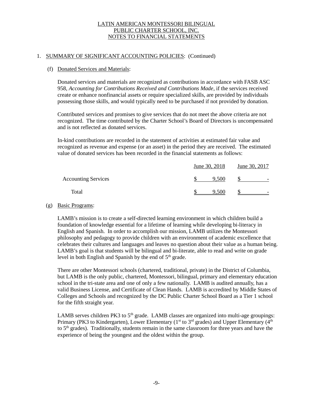#### 1. SUMMARY OF SIGNIFICANT ACCOUNTING POLICIES: (Continued)

#### (f) Donated Services and Materials:

Donated services and materials are recognized as contributions in accordance with FASB ASC 958, *Accounting for Contributions Received and Contributions Made*, if the services received create or enhance nonfinancial assets or require specialized skills, are provided by individuals possessing those skills, and would typically need to be purchased if not provided by donation.

Contributed services and promises to give services that do not meet the above criteria are not recognized. The time contributed by the Charter School's Board of Directors is uncompensated and is not reflected as donated services.

In-kind contributions are recorded in the statement of activities at estimated fair value and recognized as revenue and expense (or an asset) in the period they are received. The estimated value of donated services has been recorded in the financial statements as follows:

|                            | June 30, 2018 |       |  | June 30, 2017            |  |  |
|----------------------------|---------------|-------|--|--------------------------|--|--|
| <b>Accounting Services</b> |               | 9.500 |  | $\overline{\phantom{0}}$ |  |  |
| Total                      |               | 9.500 |  | $\overline{\phantom{0}}$ |  |  |

#### (g) Basic Programs:

LAMB's mission is to create a self-directed learning environment in which children build a foundation of knowledge essential for a lifetime of learning while developing bi-literacy in English and Spanish. In order to accomplish our mission, LAMB utilizes the Montessori philosophy and pedagogy to provide children with an environment of academic excellence that celebrates their cultures and languages and leaves no question about their value as a human being. LAMB's goal is that students will be bilingual and bi-literate, able to read and write on grade level in both English and Spanish by the end of  $5<sup>th</sup>$  grade.

There are other Montessori schools (chartered, traditional, private) in the District of Columbia, but LAMB is the only public, chartered, Montessori, bilingual, primary and elementary education school in the tri-state area and one of only a few nationally. LAMB is audited annually, has a valid Business License, and Certificate of Clean Hands. LAMB is accredited by Middle States of Colleges and Schools and recognized by the DC Public Charter School Board as a Tier 1 school for the fifth straight year.

LAMB serves children PK3 to  $5<sup>th</sup>$  grade. LAMB classes are organized into multi-age groupings: Primary (PK3 to Kindergarten), Lower Elementary (1<sup>st</sup> to 3<sup>rd</sup> grades) and Upper Elementary (4<sup>th</sup> to  $5<sup>th</sup>$  grades). Traditionally, students remain in the same classroom for three years and have the experience of being the youngest and the oldest within the group.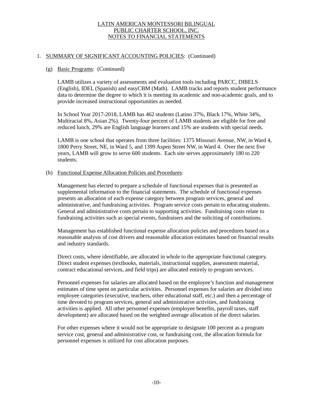#### 1. SUMMARY OF SIGNIFICANT ACCOUNTING POLICIES: (Continued)

#### (g) Basic Programs: (Continued)

LAMB utilizes a variety of assessments and evaluation tools including PARCC, DIBELS (English), IDEL (Spanish) and easyCBM (Math). LAMB tracks and reports student performance data to determine the degree to which it is meeting its academic and non-academic goals, and to provide increased instructional opportunities as needed.

In School Year 2017-2018, LAMB has 462 students (Latino 37%, Black 17%, White 34%, Multiracial 8%, Asian 2%). Twenty-four percent of LAMB students are eligible for free and reduced lunch, 29% are English language learners and 15% are students with special needs.

LAMB is one school that operates from three facilities: 1375 Missouri Avenue, NW, in Ward 4, 1800 Perry Street, NE, in Ward 5, and 1399 Aspen Street NW, in Ward 4. Over the next five years, LAMB will grow to serve 600 students. Each site serves approximately 180 to 220 students.

#### (h) Functional Expense Allocation Policies and Procedures:

Management has elected to prepare a schedule of functional expenses that is presented as supplemental information to the financial statements. The schedule of functional expenses presents an allocation of each expense category between program services, general and administrative, and fundraising activities. Program service costs pertain to educating students. General and administrative costs pertain to supporting activities. Fundraising costs relate to fundraising activities such as special events, fundraisers and the soliciting of contributions.

Management has established functional expense allocation policies and procedures based on a reasonable analysis of cost drivers and reasonable allocation estimates based on financial results and industry standards.

Direct costs, where identifiable, are allocated in whole to the appropriate functional category. Direct student expenses (textbooks, materials, instructional supplies, assessment material, contract educational services, and field trips) are allocated entirely to program services.

Personnel expenses for salaries are allocated based on the employee's function and management estimates of time spent on particular activities. Personnel expenses for salaries are divided into employee categories (executive, teachers, other educational staff, etc.) and then a percentage of time devoted to program services, general and administrative activities, and fundraising activities is applied. All other personnel expenses (employee benefits, payroll taxes, staff development) are allocated based on the weighted average allocation of the direct salaries.

For other expenses where it would not be appropriate to designate 100 percent as a program service cost, general and administrative cost, or fundraising cost, the allocation formula for personnel expenses is utilized for cost allocation purposes.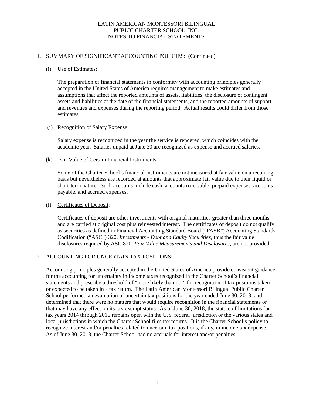#### 1. SUMMARY OF SIGNIFICANT ACCOUNTING POLICIES: (Continued)

#### (i) Use of Estimates:

The preparation of financial statements in conformity with accounting principles generally accepted in the United States of America requires management to make estimates and assumptions that affect the reported amounts of assets, liabilities, the disclosure of contingent assets and liabilities at the date of the financial statements, and the reported amounts of support and revenues and expenses during the reporting period. Actual results could differ from those estimates.

#### (j) Recognition of Salary Expense:

Salary expense is recognized in the year the service is rendered, which coincides with the academic year. Salaries unpaid at June 30 are recognized as expense and accrued salaries.

#### (k) Fair Value of Certain Financial Instruments:

Some of the Charter School's financial instruments are not measured at fair value on a recurring basis but nevertheless are recorded at amounts that approximate fair value due to their liquid or short-term nature. Such accounts include cash, accounts receivable, prepaid expenses, accounts payable, and accrued expenses.

#### (l) Certificates of Deposit:

Certificates of deposit are other investments with original maturities greater than three months and are carried at original cost plus reinvested interest. The certificates of deposit do not qualify as securities as defined in Financial Accounting Standard Board ("FASB") Accounting Standards Codification ("ASC") 320, *Investments - Debt and Equity Securities*, thus the fair value disclosures required by ASC 820, *Fair Value Measurements and Disclosures*, are not provided.

#### 2. ACCOUNTING FOR UNCERTAIN TAX POSITIONS:

Accounting principles generally accepted in the United States of America provide consistent guidance for the accounting for uncertainty in income taxes recognized in the Charter School's financial statements and prescribe a threshold of "more likely than not" for recognition of tax positions taken or expected to be taken in a tax return. The Latin American Montessori Bilingual Public Charter School performed an evaluation of uncertain tax positions for the year ended June 30, 2018, and determined that there were no matters that would require recognition in the financial statements or that may have any effect on its tax-exempt status. As of June 30, 2018, the statute of limitations for tax years 2014 through 2016 remains open with the U.S. federal jurisdiction or the various states and local jurisdictions in which the Charter School files tax returns. It is the Charter School's policy to recognize interest and/or penalties related to uncertain tax positions, if any, in income tax expense. As of June 30, 2018, the Charter School had no accruals for interest and/or penalties.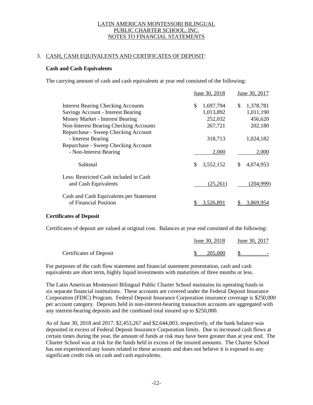## 3. CASH, CASH EQUIVALENTS AND CERTIFICATES OF DEPOSIT:

#### **Cash and Cash Equivalents**

The carrying amount of cash and cash equivalents at year end consisted of the following:

|                                                                  | June 30, 2018   | June 30, 2017   |
|------------------------------------------------------------------|-----------------|-----------------|
| <b>Interest Bearing Checking Accounts</b>                        | \$<br>1,697,794 | \$<br>1,378,781 |
| Savings Account - Interest Bearing                               | 1,013,892       | 1,011,190       |
| Money Market - Interest Bearing                                  | 252,032         | 456,620         |
| <b>Non-Interest Bearing Checking Accounts</b>                    | 267,721         | 202,180         |
| Repurchase - Sweep Checking Account                              |                 |                 |
| - Interest Bearing                                               | 318,713         | 1,024,182       |
| Repurchase - Sweep Checking Account                              |                 |                 |
| - Non-Interest Bearing                                           | 2,000           | 2,000           |
| Subtotal                                                         | \$<br>3,552,152 | 4,074,953<br>S  |
| Less: Restricted Cash included in Cash<br>and Cash Equivalents   | (25,261)        | (204,999)       |
| Cash and Cash Equivalents per Statement<br>of Financial Position | 3,526,891       | 3,869,954       |

#### **Certificates of Deposit**

Certificates of deposit are valued at original cost. Balances at year end consisted of the following:

|                         | June 30, 2018 | June 30, 2017            |
|-------------------------|---------------|--------------------------|
| Certificates of Deposit | 205,000       | $\overline{\phantom{0}}$ |

For purposes of the cash flow statement and financial statement presentation, cash and cash equivalents are short term, highly liquid investments with maturities of three months or less.

The Latin American Montessori Bilingual Public Charter School maintains its operating funds in six separate financial institutions. These accounts are covered under the Federal Deposit Insurance Corporation (FDIC) Program. Federal Deposit Insurance Corporation insurance coverage is \$250,000 per account category. Deposits held in non-interest-bearing transaction accounts are aggregated with any interest-bearing deposits and the combined total insured up to \$250,000.

As of June 30, 2018 and 2017, \$2,453,267 and \$2,644,003, respectively, of the bank balance was deposited in excess of Federal Deposit Insurance Corporation limits. Due to increased cash flows at certain times during the year, the amount of funds at risk may have been greater than at year end. The Charter School was at risk for the funds held in excess of the insured amounts. The Charter School has not experienced any losses related to these accounts and does not believe it is exposed to any significant credit risk on cash and cash equivalents.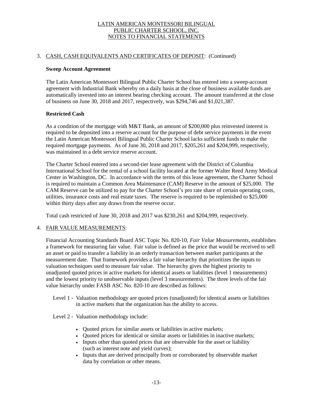## 3. CASH, CASH EQUIVALENTS AND CERTIFICATES OF DEPOSIT: (Continued)

#### **Sweep Account Agreement**

The Latin American Montessori Bilingual Public Charter School has entered into a sweep-account agreement with Industrial Bank whereby on a daily basis at the close of business available funds are automatically invested into an interest bearing checking account. The amount transferred at the close of business on June 30, 2018 and 2017, respectively, was \$294,746 and \$1,021,387.

## **Restricted Cash**

As a condition of the mortgage with M&T Bank, an amount of \$200,000 plus reinvested interest is required to be deposited into a reserve account for the purpose of debt service payments in the event the Latin American Montessori Bilingual Public Charter School lacks sufficient funds to make the required mortgage payments. As of June 30, 2018 and 2017, \$205,261 and \$204,999, respectively, was maintained in a debt service reserve account.

The Charter School entered into a second-tier lease agreement with the District of Columbia International School for the rental of a school facility located at the former Walter Reed Army Medical Center in Washington, DC. In accordance with the terms of this lease agreement, the Charter School is required to maintain a Common Area Maintenance (CAM) Reserve in the amount of \$25,000. The CAM Reserve can be utilized to pay for the Charter School's pro rate share of certain operating costs, utilities, insurance costs and real estate taxes. The reserve is required to be replenished to \$25,000 within thirty days after any draws from the reserve occur.

Total cash restricted of June 30, 2018 and 2017 was \$230,261 and \$204,999, respectively.

## 4. FAIR VALUE MEASUREMENTS:

Financial Accounting Standards Board ASC Topic No. 820-10, *Fair Value Measurements*, establishes a framework for measuring fair value. Fair value is defined as the price that would be received to sell an asset or paid to transfer a liability in an orderly transaction between market participants at the measurement date. That framework provides a fair value hierarchy that prioritizes the inputs to valuation techniques used to measure fair value. The hierarchy gives the highest priority to unadjusted quoted prices in active markets for identical assets or liabilities (level 1 measurements) and the lowest priority to unobservable inputs (level 3 measurements). The three levels of the fair value hierarchy under FASB ASC No. 820-10 are described as follows:

Level 1 - Valuation methodology are quoted prices (unadjusted) for identical assets or liabilities in active markets that the organization has the ability to access.

Level 2 - Valuation methodology include:

- Quoted prices for similar assets or liabilities in active markets;
- Quoted prices for identical or similar assets or liabilities in inactive markets;
- Inputs other than quoted prices that are observable for the asset or liability (such as interest note and yield curves);
- Inputs that are derived principally from or corroborated by observable market data by correlation or other means.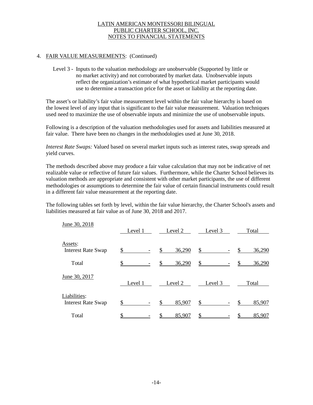## 4. FAIR VALUE MEASUREMENTS: (Continued)

Level 3 - Inputs to the valuation methodology are unobservable (Supported by little or no market activity) and not corroborated by market data. Unobservable inputs reflect the organization's estimate of what hypothetical market participants would use to determine a transaction price for the asset or liability at the reporting date.

The asset's or liability's fair value measurement level within the fair value hierarchy is based on the lowest level of any input that is significant to the fair value measurement. Valuation techniques used need to maximize the use of observable inputs and minimize the use of unobservable inputs.

Following is a description of the valuation methodologies used for assets and liabilities measured at fair value. There have been no changes in the methodologies used at June 30, 2018.

*Interest Rate Swaps:* Valued based on several market inputs such as interest rates, swap spreads and yield curves.

The methods described above may produce a fair value calculation that may not be indicative of net realizable value or reflective of future fair values. Furthermore, while the Charter School believes its valuation methods are appropriate and consistent with other market participants, the use of different methodologies or assumptions to determine the fair value of certain financial instruments could result in a different fair value measurement at the reporting date.

The following tables set forth by level, within the fair value hierarchy, the Charter School's assets and liabilities measured at fair value as of June 30, 2018 and 2017.

| June 30, 2018                             | Level 1 | Level 2      | Level 3 | Total         |
|-------------------------------------------|---------|--------------|---------|---------------|
| Assets:<br><b>Interest Rate Swap</b>      | \$      | 36,290       | \$      | 36,290        |
| Total                                     |         | 36,290       | \$      | 36,290        |
| June 30, 2017                             | Level 1 | Level 2      | Level 3 | Total         |
| Liabilities:<br><b>Interest Rate Swap</b> | \$      | \$<br>85,907 | \$      | 85,907<br>\$. |
| Total                                     |         | 85,907       |         | 85,907        |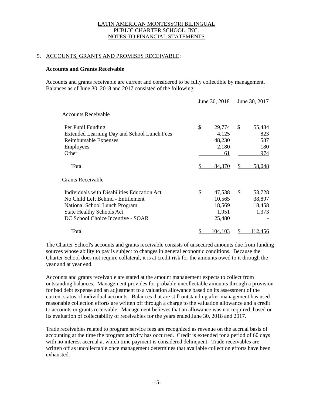## 5. ACCOUNTS, GRANTS AND PROMISES RECEIVABLE:

#### **Accounts and Grants Receivable**

Accounts and grants receivable are current and considered to be fully collectible by management. Balances as of June 30, 2018 and 2017 consisted of the following:

|                                                                                                                                                                                             | June 30, 2018                                       |     | June 30, 2017                       |
|---------------------------------------------------------------------------------------------------------------------------------------------------------------------------------------------|-----------------------------------------------------|-----|-------------------------------------|
| <b>Accounts Receivable</b>                                                                                                                                                                  |                                                     |     |                                     |
| Per Pupil Funding<br>Extended Learning Day and School Lunch Fees<br>Reimbursable Expenses<br>Employees<br>Other                                                                             | \$<br>29,774<br>4,125<br>48,230<br>2,180<br>61      | \$. | 55,484<br>823<br>587<br>180<br>974  |
| Total                                                                                                                                                                                       | 84,370                                              |     | 58,048                              |
| <b>Grants Receivable</b>                                                                                                                                                                    |                                                     |     |                                     |
| Individuals with Disabilities Education Act<br>No Child Left Behind - Entitlement<br>National School Lunch Program<br><b>State Healthy Schools Act</b><br>DC School Choice Incentive - SOAR | \$<br>47,538<br>10,565<br>18,569<br>1,951<br>25,480 | \$  | 53,728<br>38,897<br>18,458<br>1,373 |
| Total                                                                                                                                                                                       | 104.103                                             |     | <u>112,456</u>                      |

The Charter School's accounts and grants receivable consists of unsecured amounts due from funding sources whose ability to pay is subject to changes in general economic conditions. Because the Charter School does not require collateral, it is at credit risk for the amounts owed to it through the year and at year end.

Accounts and grants receivable are stated at the amount management expects to collect from outstanding balances. Management provides for probable uncollectable amounts through a provision for bad debt expense and an adjustment to a valuation allowance based on its assessment of the current status of individual accounts. Balances that are still outstanding after management has used reasonable collection efforts are written off through a charge to the valuation allowance and a credit to accounts or grants receivable. Management believes that an allowance was not required, based on its evaluation of collectability of receivables for the years ended June 30, 2018 and 2017.

Trade receivables related to program service fees are recognized as revenue on the accrual basis of accounting at the time the program activity has occurred. Credit is extended for a period of 60 days with no interest accrual at which time payment is considered delinquent. Trade receivables are written off as uncollectable once management determines that available collection efforts have been exhausted.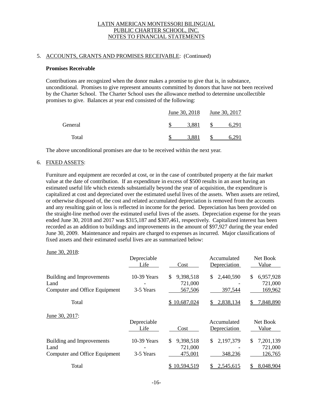#### 5. ACCOUNTS, GRANTS AND PROMISES RECEIVABLE: (Continued)

#### **Promises Receivable**

Contributions are recognized when the donor makes a promise to give that is, in substance, unconditional. Promises to give represent amounts committed by donors that have not been received by the Charter School. The Charter School uses the allowance method to determine uncollectible promises to give. Balances at year end consisted of the following:

|         | June 30, 2018 June 30, 2017 |       |      |
|---------|-----------------------------|-------|------|
| General |                             | 3.881 | 6.29 |
| Total   |                             |       |      |

The above unconditional promises are due to be received within the next year.

#### 6. FIXED ASSETS:

Furniture and equipment are recorded at cost, or in the case of contributed property at the fair market value at the date of contribution. If an expenditure in excess of \$500 results in an asset having an estimated useful life which extends substantially beyond the year of acquisition, the expenditure is capitalized at cost and depreciated over the estimated useful lives of the assets. When assets are retired, or otherwise disposed of, the cost and related accumulated depreciation is removed from the accounts and any resulting gain or loss is reflected in income for the period. Depreciation has been provided on the straight-line method over the estimated useful lives of the assets. Depreciation expense for the years ended June 30, 2018 and 2017 was \$315,187 and \$307,461, respectively. Capitalized interest has been recorded as an addition to buildings and improvements in the amount of \$97,927 during the year ended June 30, 2009. Maintenance and repairs are charged to expenses as incurred. Major classifications of fixed assets and their estimated useful lives are as summarized below:

| June 30, 2018:                |             |                  |                  |                 |
|-------------------------------|-------------|------------------|------------------|-----------------|
|                               | Depreciable |                  | Accumulated      | Net Book        |
|                               | Life        | Cost             | Depreciation     | Value           |
| Building and Improvements     | 10-39 Years | 9,398,518<br>\$. | 2,440,590<br>\$. | \$<br>6,957,928 |
| Land                          |             | 721,000          |                  | 721,000         |
| Computer and Office Equipment | 3-5 Years   | 567,506          | 397,544          | 169,962         |
| Total                         |             | 10,687,024<br>S. | 2,838,134<br>S.  | 7,848,890       |
| June 30, 2017:                |             |                  |                  |                 |
|                               | Depreciable |                  | Accumulated      | Net Book        |
|                               | Life        | Cost             | Depreciation     | Value           |
| Building and Improvements     | 10-39 Years | 9,398,518<br>\$. | 2,197,379<br>\$. | \$<br>7,201,139 |
| Land                          |             | 721,000          |                  | 721,000         |
| Computer and Office Equipment | 3-5 Years   | 475,001          | 348,236          | 126,765         |
| Total                         |             | 10,594,519       | 2,545,615<br>S   | 8,048,904       |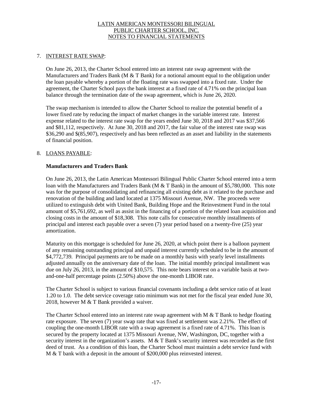## 7. INTEREST RATE SWAP:

On June 26, 2013, the Charter School entered into an interest rate swap agreement with the Manufacturers and Traders Bank ( $M \& T$  Bank) for a notional amount equal to the obligation under the loan payable whereby a portion of the floating rate was swapped into a fixed rate. Under the agreement, the Charter School pays the bank interest at a fixed rate of 4.71% on the principal loan balance through the termination date of the swap agreement, which is June 26, 2020.

The swap mechanism is intended to allow the Charter School to realize the potential benefit of a lower fixed rate by reducing the impact of market changes in the variable interest rate. Interest expense related to the interest rate swap for the years ended June 30, 2018 and 2017 was \$37,566 and \$81,112, respectively. At June 30, 2018 and 2017, the fair value of the interest rate swap was \$36,290 and \$(85,907), respectively and has been reflected as an asset and liability in the statements of financial position.

## 8. LOANS PAYABLE:

## **Manufacturers and Traders Bank**

On June 26, 2013, the Latin American Montessori Bilingual Public Charter School entered into a term loan with the Manufacturers and Traders Bank (M & T Bank) in the amount of \$5,780,000. This note was for the purpose of consolidating and refinancing all existing debt as it related to the purchase and renovation of the building and land located at 1375 Missouri Avenue, NW. The proceeds were utilized to extinguish debt with United Bank, Building Hope and the Reinvestment Fund in the total amount of \$5,761,692, as well as assist in the financing of a portion of the related loan acquisition and closing costs in the amount of \$18,308. This note calls for consecutive monthly installments of principal and interest each payable over a seven (7) year period based on a twenty-five (25) year amortization.

Maturity on this mortgage is scheduled for June 26, 2020, at which point there is a balloon payment of any remaining outstanding principal and unpaid interest currently scheduled to be in the amount of \$4,772,739. Principal payments are to be made on a monthly basis with yearly level installments adjusted annually on the anniversary date of the loan. The initial monthly principal installment was due on July 26, 2013, in the amount of \$10,575. This note bears interest on a variable basis at twoand-one-half percentage points (2.50%) above the one-month LIBOR rate.

The Charter School is subject to various financial covenants including a debt service ratio of at least 1.20 to 1.0. The debt service coverage ratio minimum was not met for the fiscal year ended June 30, 2018, however M & T Bank provided a waiver.

The Charter School entered into an interest rate swap agreement with M  $&$  T Bank to hedge floating rate exposure. The seven (7) year swap rate that was fixed at settlement was 2.21%. The effect of coupling the one-month LIBOR rate with a swap agreement is a fixed rate of 4.71%. This loan is secured by the property located at 1375 Missouri Avenue, NW, Washington, DC, together with a security interest in the organization's assets. M  $&$  T Bank's security interest was recorded as the first deed of trust. As a condition of this loan, the Charter School must maintain a debt service fund with M & T bank with a deposit in the amount of \$200,000 plus reinvested interest.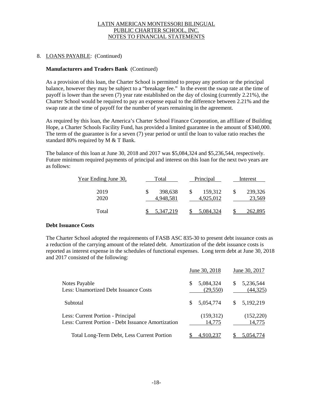## 8. LOANS PAYABLE: (Continued)

#### **Manufacturers and Traders Bank** (Continued)

As a provision of this loan, the Charter School is permitted to prepay any portion or the principal balance, however they may be subject to a "breakage fee." In the event the swap rate at the time of payoff is lower than the seven (7) year rate established on the day of closing (currently 2.21%), the Charter School would be required to pay an expense equal to the difference between 2.21% and the swap rate at the time of payoff for the number of years remaining in the agreement.

As required by this loan, the America's Charter School Finance Corporation, an affiliate of Building Hope, a Charter Schools Facility Fund, has provided a limited guarantee in the amount of \$340,000. The term of the guarantee is for a seven (7) year period or until the loan to value ratio reaches the standard 80% required by M & T Bank.

The balance of this loan at June 30, 2018 and 2017 was \$5,084,324 and \$5,236,544, respectively. Future minimum required payments of principal and interest on this loan for the next two years are as follows:

| Year Ending June 30, |  | Total                |  | Principal            | Interest |                   |  |
|----------------------|--|----------------------|--|----------------------|----------|-------------------|--|
| 2019<br>2020         |  | 398,638<br>4,948,581 |  | 159,312<br>4,925,012 | S        | 239,326<br>23,569 |  |
| Total                |  | 5.347.219            |  | 5.084.324            |          | 262.895           |  |

#### **Debt Issuance Costs**

The Charter School adopted the requirements of FASB ASC 835-30 to present debt issuance costs as a reduction of the carrying amount of the related debt. Amortization of the debt issuance costs is reported as interest expense in the schedules of functional expenses. Long term debt at June 30, 2018 and 2017 consisted of the following:

|                                                                                         |   | June 30, 2018          | June 30, 2017 |                        |  |
|-----------------------------------------------------------------------------------------|---|------------------------|---------------|------------------------|--|
| Notes Payable<br><b>Less: Unamortized Debt Issuance Costs</b>                           | S | 5,084,324<br>(29, 550) | \$            | 5,236,544<br>(44, 325) |  |
| Subtotal                                                                                | S | 5,054,774              | \$.           | 5,192,219              |  |
| Less: Current Portion - Principal<br>Less: Current Portion - Debt Issuance Amortization |   | (159,312)<br>14.775    |               | (152,220)<br>14,775    |  |
| Total Long-Term Debt, Less Current Portion                                              |   | 4.910.237              |               | 5.054.774              |  |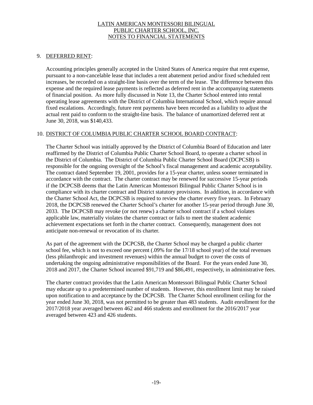#### 9. DEFERRED RENT:

Accounting principles generally accepted in the United States of America require that rent expense, pursuant to a non-cancelable lease that includes a rent abatement period and/or fixed scheduled rent increases, be recorded on a straight-line basis over the term of the lease. The difference between this expense and the required lease payments is reflected as deferred rent in the accompanying statements of financial position. As more fully discussed in Note 13, the Charter School entered into rental operating lease agreements with the District of Columbia International School, which require annual fixed escalations. Accordingly, future rent payments have been recorded as a liability to adjust the actual rent paid to conform to the straight-line basis. The balance of unamortized deferred rent at June 30, 2018, was \$140,433.

## 10. DISTRICT OF COLUMBIA PUBLIC CHARTER SCHOOL BOARD CONTRACT:

The Charter School was initially approved by the District of Columbia Board of Education and later reaffirmed by the District of Columbia Public Charter School Board, to operate a charter school in the District of Columbia. The District of Columbia Public Charter School Board (DCPCSB) is responsible for the ongoing oversight of the School's fiscal management and academic acceptability. The contract dated September 19, 2001, provides for a 15-year charter, unless sooner terminated in accordance with the contract. The charter contract may be renewed for successive 15-year periods if the DCPCSB deems that the Latin American Montessori Bilingual Public Charter School is in compliance with its charter contract and District statutory provisions. In addition, in accordance with the Charter School Act, the DCPCSB is required to review the charter every five years. In February 2018, the DCPCSB renewed the Charter School's charter for another 15-year period through June 30, 2033. The DCPCSB may revoke (or not renew) a charter school contract if a school violates applicable law, materially violates the charter contract or fails to meet the student academic achievement expectations set forth in the charter contract. Consequently, management does not anticipate non-renewal or revocation of its charter.

As part of the agreement with the DCPCSB, the Charter School may be charged a public charter school fee, which is not to exceed one percent (.09% for the 17/18 school year) of the total revenues (less philanthropic and investment revenues) within the annual budget to cover the costs of undertaking the ongoing administrative responsibilities of the Board. For the years ended June 30, 2018 and 2017, the Charter School incurred \$91,719 and \$86,491, respectively, in administrative fees.

The charter contract provides that the Latin American Montessori Bilingual Public Charter School may educate up to a predetermined number of students. However, this enrollment limit may be raised upon notification to and acceptance by the DCPCSB. The Charter School enrollment ceiling for the year ended June 30, 2018, was not permitted to be greater than 483 students. Audit enrollment for the 2017/2018 year averaged between 462 and 466 students and enrollment for the 2016/2017 year averaged between 423 and 426 students.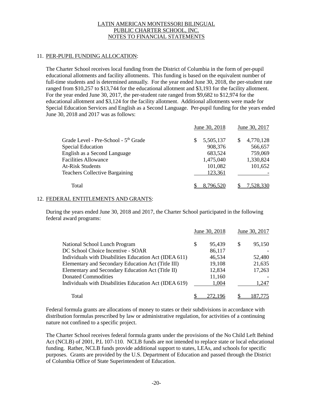## 11. PER-PUPIL FUNDING ALLOCATION:

The Charter School receives local funding from the District of Columbia in the form of per-pupil educational allotments and facility allotments. This funding is based on the equivalent number of full-time students and is determined annually. For the year ended June 30, 2018, the per-student rate ranged from \$10,257 to \$13,744 for the educational allotment and \$3,193 for the facility allotment. For the year ended June 30, 2017, the per-student rate ranged from \$9,682 to \$12,974 for the educational allotment and \$3,124 for the facility allotment. Additional allotments were made for Special Education Services and English as a Second Language. Per-pupil funding for the years ended June 30, 2018 and 2017 was as follows:

|                                                  | June 30, 2018  | June 30, 2017  |  |  |
|--------------------------------------------------|----------------|----------------|--|--|
| Grade Level - Pre-School - 5 <sup>th</sup> Grade | 5,505,137<br>S | 4,770,128<br>S |  |  |
| Special Education                                | 908,376        | 566,657        |  |  |
| English as a Second Language                     | 683,524        | 759,069        |  |  |
| <b>Facilities Allowance</b>                      | 1,475,040      | 1,330,824      |  |  |
| <b>At-Risk Students</b>                          | 101,082        | 101,652        |  |  |
| <b>Teachers Collective Bargaining</b>            | 123,361        |                |  |  |
| Total                                            | 8.796.520      | 7,528,330      |  |  |

#### 12. FEDERAL ENTITLEMENTS AND GRANTS:

During the years ended June 30, 2018 and 2017, the Charter School participated in the following federal award programs:

|                                                        | June 30, 2018 |         |   | June 30, 2017 |
|--------------------------------------------------------|---------------|---------|---|---------------|
| National School Lunch Program                          | \$            | 95.439  | S | 95,150        |
| DC School Choice Incentive - SOAR                      |               | 86,117  |   |               |
| Individuals with Disabilities Education Act (IDEA 611) |               | 46,534  |   | 52,480        |
| Elementary and Secondary Education Act (Title III)     |               | 19,108  |   | 21,635        |
| Elementary and Secondary Education Act (Title II)      |               | 12,834  |   | 17,263        |
| <b>Donated Commodities</b>                             |               | 11,160  |   |               |
| Individuals with Disabilities Education Act (IDEA 619) |               | 1,004   |   | 1,247         |
| Total                                                  |               | 272.196 |   |               |

Federal formula grants are allocations of money to states or their subdivisions in accordance with distribution formulas prescribed by law or administrative regulation, for activities of a continuing nature not confined to a specific project.

The Charter School receives federal formula grants under the provisions of the No Child Left Behind Act (NCLB) of 2001, P.L 107-110. NCLB funds are not intended to replace state or local educational funding. Rather, NCLB funds provide additional support to states, LEAs, and schools for specific purposes. Grants are provided by the U.S. Department of Education and passed through the District of Columbia Office of State Superintendent of Education.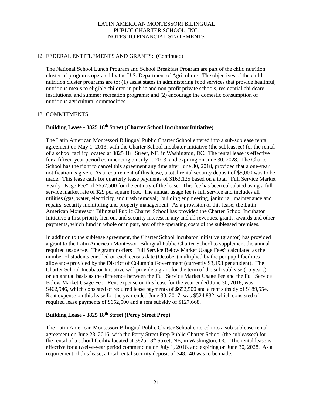## 12. FEDERAL ENTITLEMENTS AND GRANTS: (Continued)

The National School Lunch Program and School Breakfast Program are part of the child nutrition cluster of programs operated by the U.S. Department of Agriculture. The objectives of the child nutrition cluster programs are to: (1) assist states in administering food services that provide healthful, nutritious meals to eligible children in public and non-profit private schools, residential childcare institutions, and summer recreation programs; and (2) encourage the domestic consumption of nutritious agricultural commodities.

## 13. COMMITMENTS:

## **Building Lease - 3825 18th Street (Charter School Incubator Initiative)**

The Latin American Montessori Bilingual Public Charter School entered into a sub-sublease rental agreement on May 1, 2013, with the Charter School Incubator Initiative (the subleassee) for the rental of a school facility located at 3825 18<sup>th</sup> Street, NE, in Washington, DC. The rental lease is effective for a fifteen-year period commencing on July 1, 2013, and expiring on June 30, 2028. The Charter School has the right to cancel this agreement any time after June 30, 2018, provided that a one-year notification is given. As a requirement of this lease, a total rental security deposit of \$5,000 was to be made. This lease calls for quarterly lease payments of \$163,125 based on a total "Full Service Market Yearly Usage Fee" of \$652,500 for the entirety of the lease. This fee has been calculated using a full service market rate of \$29 per square foot. The annual usage fee is full service and includes all utilities (gas, water, electricity, and trash removal), building engineering, janitorial, maintenance and repairs, security monitoring and property management. As a provision of this lease, the Latin American Montessori Bilingual Public Charter School has provided the Charter School Incubator Initiative a first priority lien on, and security interest in any and all revenues, grants, awards and other payments, which fund in whole or in part, any of the operating costs of the subleased premises.

In addition to the sublease agreement, the Charter School Incubator Initiative (grantor) has provided a grant to the Latin American Montessori Bilingual Public Charter School to supplement the annual required usage fee. The grantor offers "Full Service Below Market Usage Fees" calculated as the number of students enrolled on each census date (October) multiplied by the per pupil facilities allowance provided by the District of Columbia Government (currently \$3,193 per student). The Charter School Incubator Initiative will provide a grant for the term of the sub-sublease (15 years) on an annual basis as the difference between the Full Service Market Usage Fee and the Full Service Below Market Usage Fee. Rent expense on this lease for the year ended June 30, 2018, was \$462,946, which consisted of required lease payments of \$652,500 and a rent subsidy of \$189,554. Rent expense on this lease for the year ended June 30, 2017, was \$524,832, which consisted of required lease payments of \$652,500 and a rent subsidy of \$127,668.

## **Building Lease - 3825 18th Street (Perry Street Prep)**

The Latin American Montessori Bilingual Public Charter School entered into a sub-sublease rental agreement on June 23, 2016, with the Perry Street Prep Public Charter School (the subleassee) for the rental of a school facility located at 3825 18<sup>th</sup> Street, NE, in Washington, DC. The rental lease is effective for a twelve-year period commencing on July 1, 2016, and expiring on June 30, 2028. As a requirement of this lease, a total rental security deposit of \$48,140 was to be made.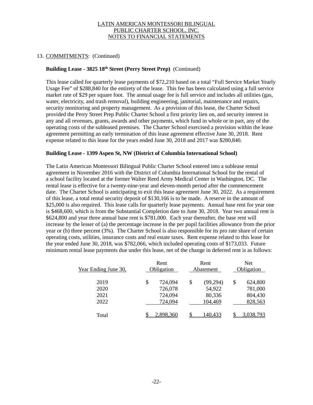## 13. COMMITMENTS: (Continued)

## **Building Lease - 3825 18th Street (Perry Street Prep)** (Continued)

This lease called for quarterly lease payments of \$72,210 based on a total "Full Service Market Yearly Usage Fee" of \$288,840 for the entirety of the lease. This fee has been calculated using a full service market rate of \$29 per square foot. The annual usage fee is full service and includes all utilities (gas, water, electricity, and trash removal), building engineering, janitorial, maintenance and repairs, security monitoring and property management. As a provision of this lease, the Charter School provided the Perry Street Prep Public Charter School a first priority lien on, and security interest in any and all revenues, grants, awards and other payments, which fund in whole or in part, any of the operating costs of the subleased premises. The Charter School exercised a provision within the lease agreement permitting an early termination of this lease agreement effective June 30, 2018. Rent expense related to this lease for the years ended June 30, 2018 and 2017 was \$280,840.

#### **Building Lease - 1399 Aspen St, NW (District of Columbia International School)**

The Latin American Montessori Bilingual Public Charter School entered into a sublease rental agreement in November 2016 with the District of Columbia International School for the rental of a school facility located at the former Walter Reed Army Medical Center in Washington, DC. The rental lease is effective for a twenty-nine-year and eleven-month period after the commencement date. The Charter School is anticipating to exit this lease agreement June 30, 2022. As a requirement of this lease, a total rental security deposit of \$130,166 is to be made. A reserve in the amount of \$25,000 is also required. This lease calls for quarterly lease payments. Annual base rent for year one is \$468,600, which is from the Substantial Completion date to June 30, 2018. Year two annual rent is \$624,800 and year three annual base rent is \$781,000. Each year thereafter, the base rent will increase by the lesser of (a) the percentage increase in the per pupil facilities allowance from the prior year or (b) three percent (3%). The Charter School is also responsible for its pro rate share of certain operating costs, utilities, insurance costs and real estate taxes. Rent expense related to this lease for the year ended June 30, 2018, was \$782,066, which included operating costs of \$173,033. Future minimum rental lease payments due under this lease, net of the change in deferred rent is as follows:

| Year Ending June 30, | Rent<br>Obligation |    | Rent<br>Abatement | <b>Net</b><br>Obligation |           |  |
|----------------------|--------------------|----|-------------------|--------------------------|-----------|--|
| 2019                 | \$<br>724,094      | \$ | (99, 294)         | \$                       | 624,800   |  |
| 2020                 | 726,078            |    | 54,922            |                          | 781,000   |  |
| 2021                 | 724,094            |    | 80,336            |                          | 804,430   |  |
| 2022                 | 724,094            |    | 104,469           |                          | 828,563   |  |
| Total                | 2,898,360          |    | 140.433           |                          | 3,038,793 |  |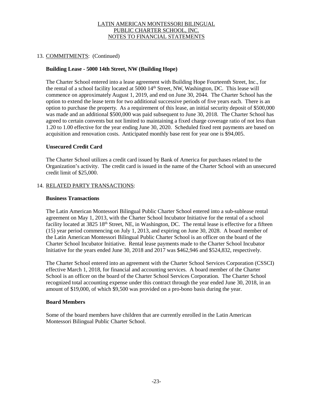## 13. COMMITMENTS: (Continued)

#### **Building Lease - 5000 14th Street, NW (Building Hope)**

The Charter School entered into a lease agreement with Building Hope Fourteenth Street, Inc., for the rental of a school facility located at 5000 14<sup>th</sup> Street, NW, Washington, DC. This lease will commence on approximately August 1, 2019, and end on June 30, 2044. The Charter School has the option to extend the lease term for two additional successive periods of five years each. There is an option to purchase the property. As a requirement of this lease, an initial security deposit of \$500,000 was made and an additional \$500,000 was paid subsequent to June 30, 2018. The Charter School has agreed to certain convents but not limited to maintaining a fixed charge coverage ratio of not less than 1.20 to 1.00 effective for the year ending June 30, 2020. Scheduled fixed rent payments are based on acquisition and renovation costs. Anticipated monthly base rent for year one is \$94,005.

#### **Unsecured Credit Card**

The Charter School utilizes a credit card issued by Bank of America for purchases related to the Organization's activity. The credit card is issued in the name of the Charter School with an unsecured credit limit of \$25,000.

#### 14. RELATED PARTY TRANSACTIONS:

#### **Business Transactions**

The Latin American Montessori Bilingual Public Charter School entered into a sub-sublease rental agreement on May 1, 2013, with the Charter School Incubator Initiative for the rental of a school facility located at 3825 18<sup>th</sup> Street, NE, in Washington, DC. The rental lease is effective for a fifteen (15) year period commencing on July 1, 2013, and expiring on June 30, 2028. A board member of the Latin American Montessori Bilingual Public Charter School is an officer on the board of the Charter School Incubator Initiative. Rental lease payments made to the Charter School Incubator Initiative for the years ended June 30, 2018 and 2017 was \$462,946 and \$524,832, respectively.

The Charter School entered into an agreement with the Charter School Services Corporation (CSSCI) effective March 1, 2018, for financial and accounting services. A board member of the Charter School is an officer on the board of the Charter School Services Corporation. The Charter School recognized total accounting expense under this contract through the year ended June 30, 2018, in an amount of \$19,000, of which \$9,500 was provided on a pro-bono basis during the year.

#### **Board Members**

Some of the board members have children that are currently enrolled in the Latin American Montessori Bilingual Public Charter School.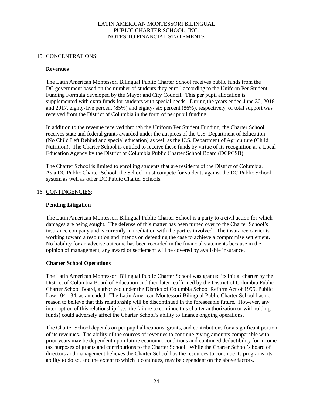#### 15. CONCENTRATIONS:

#### **Revenues**

The Latin American Montessori Bilingual Public Charter School receives public funds from the DC government based on the number of students they enroll according to the Uniform Per Student Funding Formula developed by the Mayor and City Council. This per pupil allocation is supplemented with extra funds for students with special needs. During the years ended June 30, 2018 and 2017, eighty-five percent (85%) and eighty- six percent (86%), respectively, of total support was received from the District of Columbia in the form of per pupil funding.

In addition to the revenue received through the Uniform Per Student Funding, the Charter School receives state and federal grants awarded under the auspices of the U.S. Department of Education (No Child Left Behind and special education) as well as the U.S. Department of Agriculture (Child Nutrition). The Charter School is entitled to receive these funds by virtue of its recognition as a Local Education Agency by the District of Columbia Public Charter School Board (DCPCSB).

The Charter School is limited to enrolling students that are residents of the District of Columbia. As a DC Public Charter School, the School must compete for students against the DC Public School system as well as other DC Public Charter Schools.

## 16. CONTINGENCIES:

## **Pending Litigation**

The Latin American Montessori Bilingual Public Charter School is a party to a civil action for which damages are being sought. The defense of this matter has been turned over to the Charter School's insurance company and is currently in mediation with the parties involved. The insurance carrier is working toward a resolution and intends on defending the case to achieve a compromise settlement. No liability for an adverse outcome has been recorded in the financial statements because in the opinion of management, any award or settlement will be covered by available insurance.

## **Charter School Operations**

The Latin American Montessori Bilingual Public Charter School was granted its initial charter by the District of Columbia Board of Education and then later reaffirmed by the District of Columbia Public Charter School Board, authorized under the District of Columbia School Reform Act of 1995, Public Law 104-134, as amended. The Latin American Montessori Bilingual Public Charter School has no reason to believe that this relationship will be discontinued in the foreseeable future. However, any interruption of this relationship (i.e., the failure to continue this charter authorization or withholding funds) could adversely affect the Charter School's ability to finance ongoing operations.

The Charter School depends on per pupil allocations, grants, and contributions for a significant portion of its revenues. The ability of the sources of revenues to continue giving amounts comparable with prior years may be dependent upon future economic conditions and continued deductibility for income tax purposes of grants and contributions to the Charter School. While the Charter School's board of directors and management believes the Charter School has the resources to continue its programs, its ability to do so, and the extent to which it continues, may be dependent on the above factors.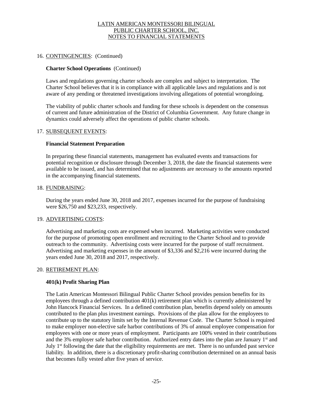#### 16. CONTINGENCIES: (Continued)

#### **Charter School Operations** (Continued)

Laws and regulations governing charter schools are complex and subject to interpretation. The Charter School believes that it is in compliance with all applicable laws and regulations and is not aware of any pending or threatened investigations involving allegations of potential wrongdoing.

The viability of public charter schools and funding for these schools is dependent on the consensus of current and future administration of the District of Columbia Government. Any future change in dynamics could adversely affect the operations of public charter schools.

#### 17. SUBSEQUENT EVENTS:

#### **Financial Statement Preparation**

In preparing these financial statements, management has evaluated events and transactions for potential recognition or disclosure through December 3, 2018, the date the financial statements were available to be issued, and has determined that no adjustments are necessary to the amounts reported in the accompanying financial statements.

#### 18. FUNDRAISING:

During the years ended June 30, 2018 and 2017, expenses incurred for the purpose of fundraising were \$26,750 and \$23,233, respectively.

#### 19. ADVERTISING COSTS:

Advertising and marketing costs are expensed when incurred. Marketing activities were conducted for the purpose of promoting open enrollment and recruiting to the Charter School and to provide outreach to the community. Advertising costs were incurred for the purpose of staff recruitment. Advertising and marketing expenses in the amount of \$3,336 and \$2,216 were incurred during the years ended June 30, 2018 and 2017, respectively.

#### 20. RETIREMENT PLAN:

#### **401(k) Profit Sharing Plan**

The Latin American Montessori Bilingual Public Charter School provides pension benefits for its employees through a defined contribution 401(k) retirement plan which is currently administered by John Hancock Financial Services. In a defined contribution plan, benefits depend solely on amounts contributed to the plan plus investment earnings. Provisions of the plan allow for the employees to contribute up to the statutory limits set by the Internal Revenue Code. The Charter School is required to make employer non-elective safe harbor contributions of 3% of annual employee compensation for employees with one or more years of employment. Participants are 100% vested in their contributions and the 3% employer safe harbor contribution. Authorized entry dates into the plan are January 1<sup>st</sup> and July 1<sup>st</sup> following the date that the eligibility requirements are met. There is no unfunded past service liability. In addition, there is a discretionary profit-sharing contribution determined on an annual basis that becomes fully vested after five years of service.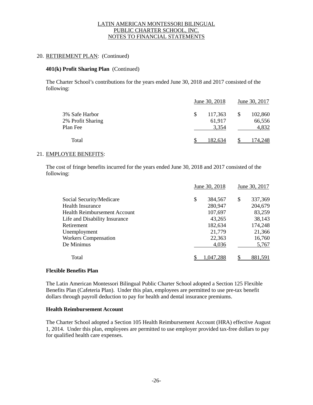#### 20. RETIREMENT PLAN: (Continued)

#### **401(k) Profit Sharing Plan** (Continued)

The Charter School's contributions for the years ended June 30, 2018 and 2017 consisted of the following:

|                   | June 30, 2018 | June 30, 2017 |         |  |
|-------------------|---------------|---------------|---------|--|
| 3% Safe Harbor    | 117,363       |               | 102,860 |  |
| 2% Profit Sharing | 61,917        |               | 66,556  |  |
| Plan Fee          | 3,354         |               | 4,832   |  |
| Total             | 182.634       |               | 174,248 |  |

#### 21. EMPLOYEE BENEFITS:

The cost of fringe benefits incurred for the years ended June 30, 2018 and 2017 consisted of the following:

|                                     | June 30, 2018 |         |    | June 30, 2017 |
|-------------------------------------|---------------|---------|----|---------------|
| Social Security/Medicare            | \$            | 384,567 | \$ | 337,369       |
| <b>Health Insurance</b>             |               | 280,947 |    | 204,679       |
| <b>Health Reimbursement Account</b> |               | 107,697 |    | 83,259        |
| Life and Disability Insurance       |               | 43,265  |    | 38,143        |
| Retirement                          |               | 182,634 |    | 174,248       |
| Unemployment                        |               | 21,779  |    | 21,366        |
| <b>Workers Compensation</b>         |               | 22,363  |    | 16,760        |
| De Minimus                          |               | 4,036   |    | 5,767         |
| Total                               |               |         |    | 881.591       |

#### **Flexible Benefits Plan**

The Latin American Montessori Bilingual Public Charter School adopted a Section 125 Flexible Benefits Plan (Cafeteria Plan). Under this plan, employees are permitted to use pre-tax benefit dollars through payroll deduction to pay for health and dental insurance premiums.

#### **Health Reimbursement Account**

The Charter School adopted a Section 105 Health Reimbursement Account (HRA) effective August 1, 2014. Under this plan, employees are permitted to use employer provided tax-free dollars to pay for qualified health care expenses.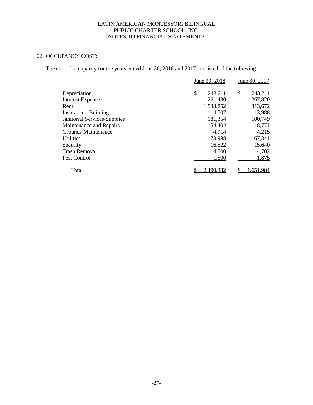## 22. OCCUPANCY COST:

The cost of occupancy for the years ended June 30, 2018 and 2017 consisted of the following:

|                              | June 30, 2018 | June 30, 2017 |  |  |
|------------------------------|---------------|---------------|--|--|
| Depreciation                 | \$<br>243,211 | \$<br>243,211 |  |  |
| <b>Interest Expense</b>      | 261,430       | 267,820       |  |  |
| Rent                         | 1,533,852     | 813,672       |  |  |
| Insurance - Building         | 14,707        | 13,988        |  |  |
| Janitorial Services/Supplies | 181,354       | 100,749       |  |  |
| Maintenance and Repairs      | 154,404       | 118,771       |  |  |
| Grounds Maintenance          | 4,914         | 4,215         |  |  |
| <b>Utilities</b>             | 73,988        | 67,341        |  |  |
| Security                     | 16,522        | 15,640        |  |  |
| <b>Trash Removal</b>         | 4,500         | 4,702         |  |  |
| Pest Control                 | 1,500         | 1,875         |  |  |
| Total                        | 2,490,382     | 1,651,984     |  |  |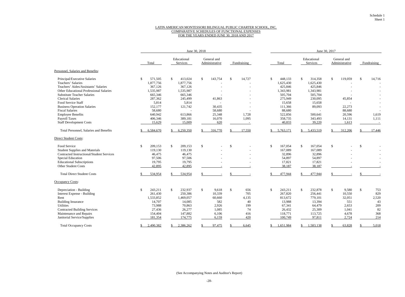#### LATIN AMERICAN MONTESSORI BILINGUAL PUBLIC CHARTER SCHOOL, INC. COMPARATIVE SCHEDULES OF FUNCTIONAL EXPENSES FOR THE YEARS ENDED JUNE 30, 2018 AND 2017

|                                                  | June 30, 2018  |                          |                               |                          | June 30, 2017            |                         |                               |                        |
|--------------------------------------------------|----------------|--------------------------|-------------------------------|--------------------------|--------------------------|-------------------------|-------------------------------|------------------------|
|                                                  | Total          | Educational<br>Services  | General and<br>Administrative | Fundraising              | Total                    | Educational<br>Services | General and<br>Administrative | Fundraising            |
| Personnel, Salaries and Benefits:                |                |                          |                               |                          |                          |                         |                               |                        |
| Principal/Executive Salaries                     | 571,505<br>\$  | \$<br>413,024            | 143,754<br>-\$                | 14,727<br>$\mathbb{S}$   | $\mathbb{S}$<br>448,133  | $\mathbb{S}$<br>314,358 | $\mathbb{S}$<br>119,059       | $\mathbb{S}$<br>14,716 |
| Teachers' Salaries                               | 1,877,756      | 1,877,756                |                               |                          | 1,625,430                | 1,625,430               |                               |                        |
| Teachers' Aides/Assistants' Salaries             | 367,126        | 367,126                  |                               |                          | 425,846                  | 425,846                 |                               |                        |
| Other Educational Professional Salaries          | 1,535,987      | 1,535,987                |                               |                          | 1,343,981                | 1,343,981               |                               |                        |
| <b>Substitute Teacher Salaries</b>               | 665,346        | 665,346                  |                               |                          | 505,704                  | 505,704                 |                               |                        |
| <b>Clerical Salaries</b>                         | 287,362        | 245,499                  | 41,863                        |                          | 275,949                  | 230,095                 | 45,854                        |                        |
| Food Service Staff                               | 5,814          | 5,814                    |                               |                          | 15,658                   | 15,658                  |                               |                        |
| <b>Business Operation Salaries</b>               | 152,177        | 121,742                  | 30,435                        |                          | 111,366                  | 89,093                  | 22,273                        |                        |
| <b>Fiscal Salaries</b>                           | 58,680         |                          | 58,680                        |                          | 88,680                   |                         | 88,680                        |                        |
| <b>Employee Benefits</b>                         | 640,942        | 613,866                  | 25,348                        | 1,728                    | 522,856                  | 500,641                 | 20,596                        | 1,619                  |
| Payroll Taxes                                    | 406,346        | 389,181                  | 16,070                        | 1,095                    | 358,735                  | 343,493                 | 14,131                        | 1,111                  |
| <b>Staff Development Costs</b>                   | 15,629         | 15,009                   | 620                           | $\overline{\phantom{a}}$ | 40,833                   | 39,220                  | 1,613                         | $\sim$                 |
| Total Personnel, Salaries and Benefits           | 6,584,670      | 6,250,350                | 316,770                       | 17,550                   | 5,763,171                | 5,433,519               | 312,206                       | 17,446                 |
| Direct Student Costs:                            |                |                          |                               |                          |                          |                         |                               |                        |
| Food Service                                     | 209,153<br>\$. | <sup>\$</sup><br>209,153 | $\mathbb{S}$                  | $\mathcal{S}$            | $\mathcal{S}$<br>167,054 | $\mathbb{S}$<br>167,054 | $\mathbb{S}$                  | $\$$                   |
| <b>Student Supplies and Materials</b>            | 119,130        | 119,130                  |                               |                          | 167,089                  | 167,089                 |                               |                        |
| <b>Contracted Instructional/Student Services</b> | 46,475         | 46,475                   |                               |                          | 32,896                   | 32,896                  |                               |                        |
| <b>Special Education</b>                         | 97,506         | 97,506                   |                               |                          | 54,897                   | 54,897                  |                               |                        |
| <b>Educational Subscriptions</b>                 | 19,795         | 19,795                   |                               |                          | 17,821                   | 17,821                  |                               |                        |
| Other Student Costs                              | 42,895         | 42,895                   |                               |                          | 38,187                   | 38,187                  |                               |                        |
| <b>Total Direct Student Costs</b>                | 534,954        | 534,954                  |                               |                          | 477,944                  | 477,944                 | \$                            |                        |
| Occupancy Costs:                                 |                |                          |                               |                          |                          |                         |                               |                        |
| Depreciation - Building                          | 243,211<br>\$  | 232,937<br><sup>\$</sup> | $\mathbb{S}$<br>9,618         | \$<br>656                | <sup>\$</sup><br>243,211 | \$<br>232,878           | \$<br>9,580                   | \$<br>753              |
| Interest Expense - Building                      | 261,430        | 250,386                  | 10,339                        | 705                      | 267,820                  | 256,441                 | 10,550                        | 829                    |
| Rent                                             | 1,533,852      | 1,469,057                | 60,660                        | 4,135                    | 813,672                  | 779,101                 | 32,051                        | 2,520                  |
| <b>Building Insurance</b>                        | 14,707         | 14,085                   | 582                           | 40                       | 13,988                   | 13,394                  | 551                           | 43                     |
| Utilities                                        | 73,988         | 70,863                   | 2,926                         | 199                      | 67,341                   | 64,479                  | 2,653                         | 209                    |
| <b>Contracted Building Services</b>              | 27,436         | 26,277                   | 1,085                         | 74                       | 26,432                   | 25,309                  | 1,041                         | 82                     |
| Maintenance and Repairs                          | 154,404        | 147,882                  | 6,106                         | 416                      | 118,771                  | 113,725                 | 4,678                         | 368                    |
| Janitorial Service/Supplies                      | 181,354        | 174,775                  | 6,159                         | 420                      | 100,749                  | 97,811                  | 2,724                         | 214                    |
| <b>Total Occupancy Costs</b>                     | 2,490,382      | 2,386,262                | 97,475                        | 6,645                    | 1,651,984                | 1,583,138               | 63,828                        | 5,018                  |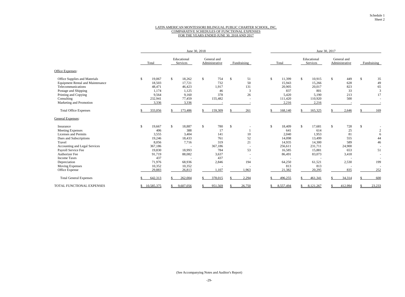#### LATIN AMERICAN MONTESSORI BILINGUAL PUBLIC CHARTER SCHOOL, INC. COMPARATIVE SCHEDULES OF FUNCTIONAL EXPENSES FOR THE YEARS ENDED JUNE 30, 2018 AND 2017

|                                         |                        | June 30, 2018           |                               |                     |                        | June 30, 2017           |                               |                |  |
|-----------------------------------------|------------------------|-------------------------|-------------------------------|---------------------|------------------------|-------------------------|-------------------------------|----------------|--|
|                                         | Total                  | Educational<br>Services | General and<br>Administrative | Fundraising         | Total                  | Educational<br>Services | General and<br>Administrative | Fundraising    |  |
| Office Expenses:                        |                        |                         |                               |                     |                        |                         |                               |                |  |
| Office Supplies and Materials           | $\mathbb{S}$<br>19,067 | 18,262<br>$\mathbb{S}$  | \$<br>754                     | $\mathcal{S}$<br>51 | $\mathbb{S}$<br>11,399 | $\mathbb{S}$<br>10,915  | $\mathbb{S}$<br>449           | \$<br>35       |  |
| <b>Equipment Rental and Maintenance</b> | 18,503                 | 17,721                  | 732                           | 50                  | 15,943                 | 15,266                  | 628                           | 49             |  |
| Telecommunications                      | 48,471                 | 46,423                  | 1,917                         | 131                 | 20,905                 | 20,017                  | 823                           | 65             |  |
| Postage and Shipping                    | 1,174                  | 1,125                   | 46                            | 3                   | 837                    | 801                     | 33                            |                |  |
| Printing and Copying                    | 9,564                  | 9,160                   | 378                           | $26\,$              | 5,420                  | 5,190                   | 213                           | 17             |  |
| Consulting                              | 232,941                | 77,459                  | 155,482                       |                     | 111,420                | 110,920                 | 500                           |                |  |
| Marketing and Promotion                 | 3,336                  | 3,336                   |                               |                     | 2,216                  | 2,216                   |                               |                |  |
| <b>Total Office Expenses</b>            | 333,056                | 173,486                 | 159,309                       | 261                 | 168,140                | 165,325<br>\$           | 2,646                         | 169            |  |
| <b>General Expenses:</b>                |                        |                         |                               |                     |                        |                         |                               |                |  |
| Insurance                               | \$<br>19,667           | 18,887<br>-S            | 780<br>\$                     | \$                  | \$<br>18,409           | $\mathbb{S}$<br>17,681  | \$<br>728                     | \$             |  |
| <b>Meeting Expenses</b>                 | 406                    | 388                     | 17                            |                     | 641                    | 614                     | 25                            | $\overline{c}$ |  |
| Licenses and Permits                    | 3,555                  | 3,404                   | 141                           | 10                  | 2,040                  | 1,953                   | 81                            | 6              |  |
| Dues and Subscriptions                  | 19,246                 | 18,433                  | 761                           | 52                  | 14,098                 | 13,499                  | 555                           | 44             |  |
| Travel                                  | 8,056                  | 7,716                   | 319                           | 21                  | 14,935                 | 14,300                  | 589                           | 46             |  |
| Accounting and Legal Services           | 367,186                |                         | 367,186                       |                     | 256,611                | 231,711                 | 24,900                        |                |  |
| Payroll Service Fee                     | 19,830                 | 18,993                  | 784                           | 53                  | 16,585                 | 15,881                  | 653                           | 51             |  |
| <b>Authorizer Fee</b>                   | 91,719                 | 88,082                  | 3,637                         |                     | 86,491                 | 83,073                  | 3,418                         |                |  |
| <b>Income Taxes</b>                     | 437                    |                         | 437                           |                     |                        |                         |                               |                |  |
| Depreciation                            | 71,976                 | 68,936                  | 2,846                         | 194                 | 64,250                 | 61,521                  | 2,530                         | 199            |  |
| <b>Moving Expenses</b>                  | 10,352                 | 10,352                  |                               |                     | 813                    | 813                     |                               |                |  |
| Office Expense                          | 29,883                 | 26,813                  | 1,107                         | 1,963               | 21,382                 | 20,295                  | 835                           | 252            |  |
| <b>Total General Expenses</b>           | 642,313                | 262,004                 | 378,015                       | 2,294               | 496,255                | 461,341                 | 34,314                        | 600            |  |
| TOTAL FUNCTIONAL EXPENSES               | 10,585,375             | 9,607,056               | 951,569                       | 26,750              | 8,557,494              | 8,121,267<br>\$.        | 412,994                       | 23,233         |  |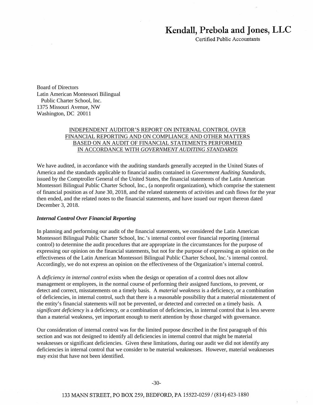## **Kendall, Prebola and Jones, LLC**

Certified Public Accountants

Board of Directors Latin American Montessori Bilingual Public Charter School, Inc. 1375 Missouri Avenue, NW Washington, DC 20011

#### INDEPENDENT AUDITOR'S REPORT ON INTERNAL CONTROL OVER FINANCIAL REPORTING AND ON COMPLIANCE AND OTHER MATTERS BASED ON AN AUDIT OF FINANCIAL STATEMENTS PERFORMED IN ACCORDANCE WITH *GOVERNMENT AUDITING STANDARDS*

We have audited, in accordance with the auditing standards generally accepted in the United States of America and the standards applicable to financial audits contained in *Government Auditing Standards*, issued by the Comptroller General of the United States, the financial statements of the Latin American Montessori Bilingual Public Charter School, Inc., (a nonprofit organization), which comprise the statement of financial position as of June 30, 2018, and the related statements of activities and cash flows for the year then ended, and the related notes to the financial statements, and have issued our report thereon dated December 3, 2018.

#### *Internal Control Over Financial Reporting*

In planning and performing our audit of the financial statements, we considered the Latin American Montessori Bilingual Public Charter School, Inc.'s internal control over financial reporting (internal control) to determine the audit procedures that are appropriate in the circumstances for the purpose of expressing our opinion on the financial statements, but not for the purpose of expressing an opinion on the effectiveness of the Latin American Montessori Bilingual Public Charter School, Inc.'s internal control. Accordingly, we do not express an opinion on the effectiveness of the Organization's internal control.

A *deficiency in internal control* exists when the design or operation of a control does not allow management or employees, in the normal course of performing their assigned functions, to prevent, or detect and correct, misstatements on a timely basis. A *material weakness* is a deficiency, or a combination of deficiencies, in internal control, such that there is a reasonable possibility that a material misstatement of the entity's financial statements will not be prevented, or detected and corrected on a timely basis. A *significant deficiency* is a deficiency, or a combination of deficiencies, in internal control that is less severe than a material weakness, yet important enough to merit attention by those charged with governance.

Our consideration of internal control was for the limited purpose described in the first paragraph of this section and was not designed to identify all deficiencies in internal control that might be material weaknesses or significant deficiencies. Given these limitations, during our audit we did not identify any deficiencies in internal control that we consider to be material weaknesses. However, material weaknesses may exist that have not been identified.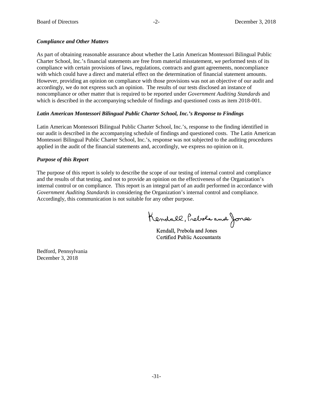#### *Compliance and Other Matters*

As part of obtaining reasonable assurance about whether the Latin American Montessori Bilingual Public Charter School, Inc.'s financial statements are free from material misstatement, we performed tests of its compliance with certain provisions of laws, regulations, contracts and grant agreements, noncompliance with which could have a direct and material effect on the determination of financial statement amounts. However, providing an opinion on compliance with those provisions was not an objective of our audit and accordingly, we do not express such an opinion. The results of our tests disclosed an instance of noncompliance or other matter that is required to be reported under *Government Auditing Standards* and which is described in the accompanying schedule of findings and questioned costs as item 2018-001.

## *Latin American Montessori Bilingual Public Charter School, Inc.'s Response to Findings*

Latin American Montessori Bilingual Public Charter School, Inc.'s, response to the finding identified in our audit is described in the accompanying schedule of findings and questioned costs. The Latin American Montessori Bilingual Public Charter School, Inc.'s, response was not subjected to the auditing procedures applied in the audit of the financial statements and, accordingly, we express no opinion on it.

## *Purpose of this Report*

The purpose of this report is solely to describe the scope of our testing of internal control and compliance and the results of that testing, and not to provide an opinion on the effectiveness of the Organization's internal control or on compliance. This report is an integral part of an audit performed in accordance with *Government Auditing Standards* in considering the Organization's internal control and compliance. Accordingly, this communication is not suitable for any other purpose.

Kendall, Prebola and Jones

Kendall, Prebola and Jones Kendall, Prebola and Jones Certified Public Accountants Certified Public Accountants

Bedford, Pennsylvania December 3, 2018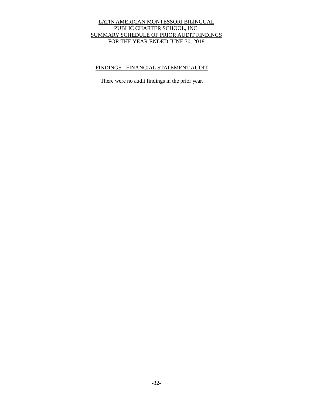## LATIN AMERICAN MONTESSORI BILINGUAL PUBLIC CHARTER SCHOOL, INC. SUMMARY SCHEDULE OF PRIOR AUDIT FINDINGS FOR THE YEAR ENDED JUNE 30, 2018

## FINDINGS - FINANCIAL STATEMENT AUDIT

There were no audit findings in the prior year.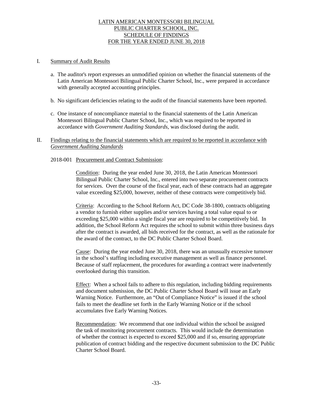## LATIN AMERICAN MONTESSORI BILINGUAL PUBLIC CHARTER SCHOOL, INC. SCHEDULE OF FINDINGS FOR THE YEAR ENDED JUNE 30, 2018

#### I. Summary of Audit Results

- a. The auditor's report expresses an unmodified opinion on whether the financial statements of the Latin American Montessori Bilingual Public Charter School, Inc., were prepared in accordance with generally accepted accounting principles.
- b. No significant deficiencies relating to the audit of the financial statements have been reported.
- c. One instance of noncompliance material to the financial statements of the Latin American Montessori Bilingual Public Charter School, Inc., which was required to be reported in accordance with *Government Auditing Standards*, was disclosed during the audit.

#### II. Findings relating to the financial statements which are required to be reported in accordance with *Government Auditing Standards*

## 2018-001 Procurement and Contract Submission:

Condition: During the year ended June 30, 2018, the Latin American Montessori Bilingual Public Charter School, Inc., entered into two separate procurement contracts for services. Over the course of the fiscal year, each of these contracts had an aggregate value exceeding \$25,000, however, neither of these contracts were competitively bid.

Criteria: According to the School Reform Act, DC Code 38-1800, contracts obligating a vendor to furnish either supplies and/or services having a total value equal to or exceeding \$25,000 within a single fiscal year are required to be competitively bid. In addition, the School Reform Act requires the school to submit within three business days after the contract is awarded, all bids received for the contract, as well as the rationale for the award of the contract, to the DC Public Charter School Board.

Cause: During the year ended June 30, 2018, there was an unusually excessive turnover in the school's staffing including executive management as well as finance personnel. Because of staff replacement, the procedures for awarding a contract were inadvertently overlooked during this transition.

Effect: When a school fails to adhere to this regulation, including bidding requirements and document submission, the DC Public Charter School Board will issue an Early Warning Notice. Furthermore, an "Out of Compliance Notice" is issued if the school fails to meet the deadline set forth in the Early Warning Notice or if the school accumulates five Early Warning Notices.

Recommendation: We recommend that one individual within the school be assigned the task of monitoring procurement contracts. This would include the determination of whether the contract is expected to exceed \$25,000 and if so, ensuring appropriate publication of contract bidding and the respective document submission to the DC Public Charter School Board.